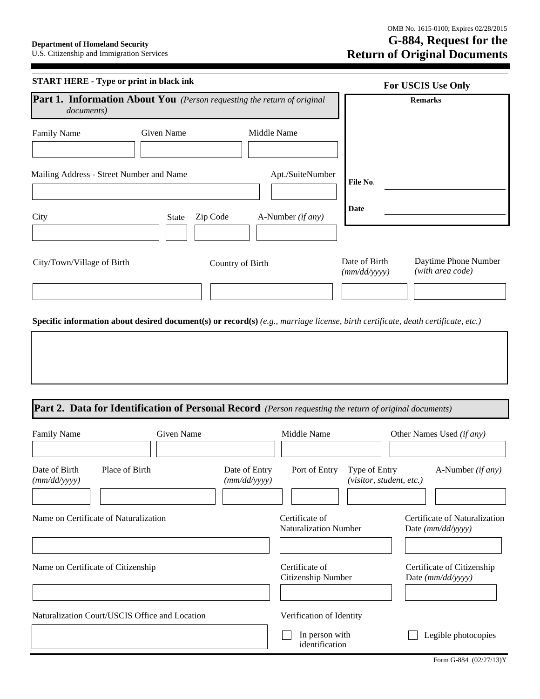Г

## **G-884, Request for the Return of Original Documents**

| <b>START HERE - Type or print in black ink</b> |  |
|------------------------------------------------|--|
|------------------------------------------------|--|

| START HERE - Type or print in black ink                                                              |                   |                   | For USCIS Use Only            |                                          |  |
|------------------------------------------------------------------------------------------------------|-------------------|-------------------|-------------------------------|------------------------------------------|--|
| <b>Part 1. Information About You</b> (Person requesting the return of original<br><i>documents</i> ) |                   |                   | <b>Remarks</b>                |                                          |  |
| <b>Family Name</b>                                                                                   | Given Name        | Middle Name       |                               |                                          |  |
| Mailing Address - Street Number and Name                                                             |                   | Apt./SuiteNumber  | File No.<br>Date              |                                          |  |
| City                                                                                                 | Zip Code<br>State | A-Number (if any) |                               |                                          |  |
| City/Town/Village of Birth                                                                           |                   | Country of Birth  | Date of Birth<br>(mm/dd/yyyy) | Daytime Phone Number<br>(with area code) |  |
|                                                                                                      |                   |                   |                               |                                          |  |

**Specific information about desired document(s) or record(s)** *(e.g., marriage license, birth certificate, death certificate, etc.)*

## **Part 2. Data for Identification of Personal Record** *(Person requesting the return of original documents)*

| Middle Name                                    | Other Names Used <i>(if any)</i>                            |
|------------------------------------------------|-------------------------------------------------------------|
| Port of Entry                                  | A-Number (if any)                                           |
| Certificate of<br><b>Naturalization Number</b> | Certificate of Naturalization<br>Date $(mm/dd/yyyy)$        |
| Certificate of<br>Citizenship Number           | Certificate of Citizenship<br>Date (mm/dd/yyyy)             |
| Verification of Identity                       | Legible photocopies                                         |
|                                                | Type of Entry<br>(visitor, student, etc.)<br>In person with |

I